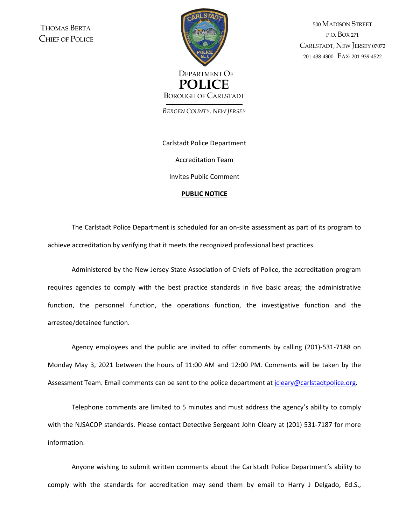THOMAS BERTA CHIEF OF POLICE



500 MADISON STREET P.O. BOX 271 CARLSTADT, NEW JERSEY <sup>07072</sup> 201-438-4300 FAX: 201-939-4522

*BERGEN COUNTY, NEW JERSEY*

Carlstadt Police Department Accreditation Team Invites Public Comment

## **PUBLIC NOTICE**

The Carlstadt Police Department is scheduled for an on-site assessment as part of its program to achieve accreditation by verifying that it meets the recognized professional best practices.

Administered by the New Jersey State Association of Chiefs of Police, the accreditation program requires agencies to comply with the best practice standards in five basic areas; the administrative function, the personnel function, the operations function, the investigative function and the arrestee/detainee function.

Agency employees and the public are invited to offer comments by calling (201)-531-7188 on Monday May 3, 2021 between the hours of 11:00 AM and 12:00 PM. Comments will be taken by the Assessment Team. Email comments can be sent to the police department at [jcleary@carlstadtpolice.org.](mailto:jcleary@carlstadtpolice.org)

Telephone comments are limited to 5 minutes and must address the agency's ability to comply with the NJSACOP standards. Please contact Detective Sergeant John Cleary at (201) 531-7187 for more information.

Anyone wishing to submit written comments about the Carlstadt Police Department's ability to comply with the standards for accreditation may send them by email to Harry J Delgado, Ed.S.,